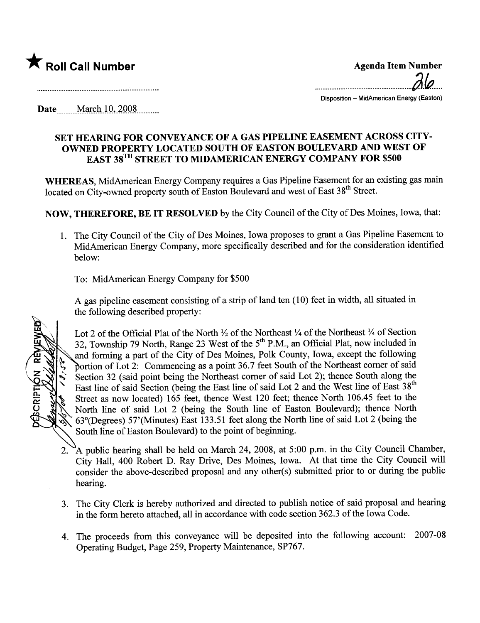

Disposition - MidAmerican Energy (Easton)

Date March 10, 2008

## SET HEARING FOR CONVEYANCE OF A GAS PIPELINE EASEMENT ACROSS CITY-OWNED PROPERTY LOCATED SOUTH OF EASTON BOULEVARD AND WEST OF EAST 38<sup>TH</sup> STREET TO MIDAMERICAN ENERGY COMPANY FOR \$500

WHEREAS, MidAmerican Energy Company requires a Gas Pipeline Easement for an existing gas main located on City-owned property south of Easton Boulevard and west of East 38<sup>th</sup> Street.

NOW, THEREFORE, BE IT RESOLVED by the City Council of the City of Des Moines, Iowa, that:

1. The City Council of the City of Des Moines, Iowa proposes to grant a Gas Pipeline Easement to MidAmerican Energy Company, more specifically described and for the consideration identified below:

To: MidAmerican Energy Company for \$500

A gas pipeline easement consisting of a strip of land ten (10) feet in width, all situated in the following described property:

ESCRIPTIÓN REVIEWED

Lot 2 of the Official Plat of the North  $\frac{1}{2}$  of the Northeast  $\frac{1}{4}$  of the Northeast  $\frac{1}{4}$  of Section 32, Township 79 North, Range 23 West of the 5<sup>th</sup> P.M., an Official Plat, now included in and forming a part of the City of Des Moines, Polk County, Iowa, except the following portion of Lot 2: Commencing as a point 36.7 feet South of the Northeast corner of said Section 32 (said point being the Northeast comer of said Lot 2); thence South along the East line of said Section (being the East line of said Lot 2 and the West line of East 38<sup>th</sup><br>Street as now located) 165 feet, thence West 120 feet; thence North 106.45 feet to the  $\mathbb{S}$  street as now located  $\mathbb{S}$  feet, thence  $\mathbb{S}$  feeter; thence  $\mathbb{S}$  feeter;  $\mathbb{S}$  feet to the North 106.45 feet to the North 106.45 feet to the North 106.45 feet to the North 106.45 feet to the North  $\setminus$  North line of said Lot 2 (being the South line of Easton Boulevard); thence North ~ 63°(Degrees) 57'(Minutes) East 133.51 feet along the North line of said Lot 2 (being the South line of Easton Boulevard) to the point of beginning.

- <sup>2</sup>A public hearing shall be held on March 24, 2008, at 5:00 p.m. in the City Council Chamber,  $\overline{2}$ . City Hall, 400 Robert D. Ray Drive, Des Moines, Iowa. At that time the City Council wil consider the above-described proposal and any other(s) submitted prior to or during the public hearing.
- 3. The City Clerk is hereby authorized and directed to publish notice of said proposal and hearing in the form hereto attached, all in accordance with code section 362.3 of the Iowa Code.
- 4. The proceeds from this conveyance will be deposited into the following account: 2007-08 Operating Budget, Page 259, Property Maintenance, SP767.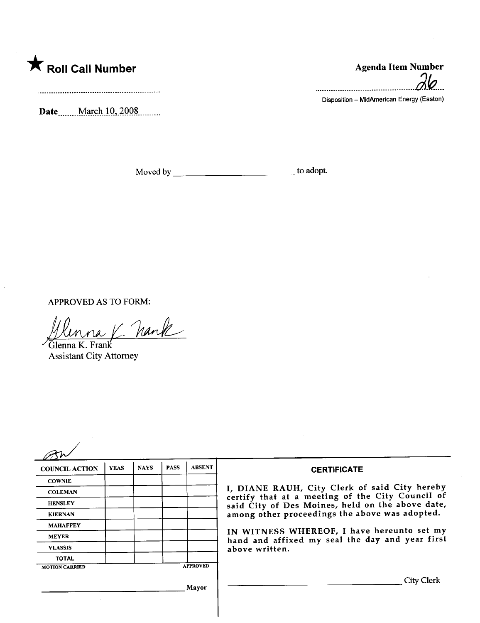

Date March 10, 2008

to adopt.

**Agenda Item Number**  $\varphi_{\scriptscriptstyle\ldots}$ 

Disposition - MidAmerican Energy (Easton)

APPROVED AS TO FORM:

ra V. nank

Glenna K. Frank **Assistant City Attorney** 

 $\overline{\phantom{a}}$ 

| <b>COUNCIL ACTION</b>                    | <b>YEAS</b> | <b>NAYS</b> | <b>PASS</b> | <b>ABSENT</b> | <b>CERTIFICATE</b>                                                                                                                                                                                                                                                                                                         |
|------------------------------------------|-------------|-------------|-------------|---------------|----------------------------------------------------------------------------------------------------------------------------------------------------------------------------------------------------------------------------------------------------------------------------------------------------------------------------|
| <b>COWNIE</b>                            |             |             |             |               |                                                                                                                                                                                                                                                                                                                            |
| <b>COLEMAN</b>                           |             |             |             |               | I, DIANE RAUH, City Clerk of said City hereby<br>certify that at a meeting of the City Council of<br>said City of Des Moines, held on the above date,<br>among other proceedings the above was adopted.<br>IN WITNESS WHEREOF, I have hereunto set my<br>hand and affixed my seal the day and year first<br>above written. |
| <b>HENSLEY</b>                           |             |             |             |               |                                                                                                                                                                                                                                                                                                                            |
| <b>KIERNAN</b>                           |             |             |             |               |                                                                                                                                                                                                                                                                                                                            |
| <b>MAHAFFEY</b>                          |             |             |             |               |                                                                                                                                                                                                                                                                                                                            |
| <b>MEYER</b>                             |             |             |             |               |                                                                                                                                                                                                                                                                                                                            |
| <b>VLASSIS</b>                           |             |             |             |               |                                                                                                                                                                                                                                                                                                                            |
| <b>TOTAL</b>                             |             |             |             |               |                                                                                                                                                                                                                                                                                                                            |
| <b>APPROVED</b><br><b>MOTION CARRIED</b> |             |             |             |               |                                                                                                                                                                                                                                                                                                                            |
| Mayor                                    |             |             |             |               | City Clerk                                                                                                                                                                                                                                                                                                                 |